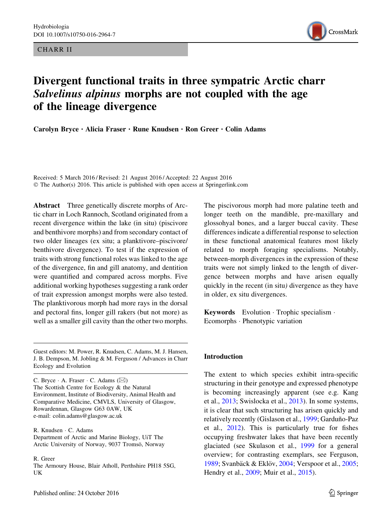CHARR II



# Divergent functional traits in three sympatric Arctic charr Salvelinus alpinus morphs are not coupled with the age of the lineage divergence

Carolyn Bryce · Alicia Fraser · Rune Knudsen · Ron Greer · Colin Adams

Received: 5 March 2016 / Revised: 21 August 2016 / Accepted: 22 August 2016 © The Author(s) 2016. This article is published with open access at Springerlink.com

Abstract Three genetically discrete morphs of Arctic charr in Loch Rannoch, Scotland originated from a recent divergence within the lake (in situ) (piscivore and benthivore morphs) and from secondary contact of two older lineages (ex situ; a planktivore–piscivore/ benthivore divergence). To test if the expression of traits with strong functional roles was linked to the age of the divergence, fin and gill anatomy, and dentition were quantified and compared across morphs. Five additional working hypotheses suggesting a rank order of trait expression amongst morphs were also tested. The planktivorous morph had more rays in the dorsal and pectoral fins, longer gill rakers (but not more) as well as a smaller gill cavity than the other two morphs.

Guest editors: M. Power, R. Knudsen, C. Adams, M. J. Hansen, J. B. Dempson, M. Jobling & M. Ferguson / Advances in Charr Ecology and Evolution

C. Bryce  $\cdot$  A. Fraser  $\cdot$  C. Adams ( $\boxtimes$ ) The Scottish Centre for Ecology & the Natural Environment, Institute of Biodiversity, Animal Health and Comparative Medicine, CMVLS, University of Glasgow, Rowardennan, Glasgow G63 0AW, UK e-mail: colin.adams@glasgow.ac.uk

R. Knudsen - C. Adams Department of Arctic and Marine Biology, UiT The Arctic University of Norway, 9037 Tromsö, Norway

R. Greer

The Armoury House, Blair Atholl, Perthshire PH18 5SG, UK

The piscivorous morph had more palatine teeth and longer teeth on the mandible, pre-maxillary and glossohyal bones, and a larger buccal cavity. These differences indicate a differential response to selection in these functional anatomical features most likely related to morph foraging specialisms. Notably, between-morph divergences in the expression of these traits were not simply linked to the length of divergence between morphs and have arisen equally quickly in the recent (in situ) divergence as they have in older, ex situ divergences.

Keywords Evolution - Trophic specialism - Ecomorphs - Phenotypic variation

#### Introduction

The extent to which species exhibit intra-specific structuring in their genotype and expressed phenotype is becoming increasingly apparent (see e.g. Kang et al., [2013;](#page-12-0) Swislocka et al., [2013](#page-12-0)). In some systems, it is clear that such structuring has arisen quickly and relatively recently (Gislason et al., [1999;](#page-11-0) Garduño-Paz et al., [2012\)](#page-11-0). This is particularly true for fishes occupying freshwater lakes that have been recently glaciated (see Skulason et al., [1999](#page-12-0) for a general overview; for contrasting exemplars, see Ferguson, [1989;](#page-11-0) Svanbäck & Eklöv, [2004](#page-12-0); Verspoor et al., [2005;](#page-12-0) Hendry et al., [2009;](#page-11-0) Muir et al., [2015](#page-12-0)).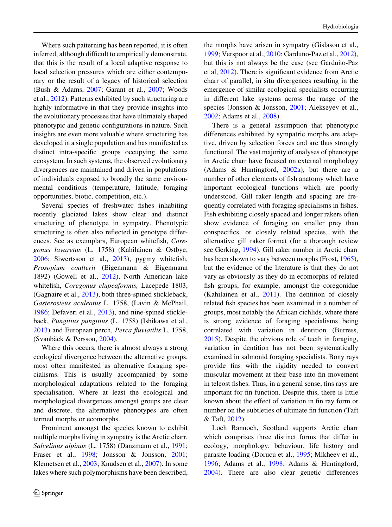Where such patterning has been reported, it is often inferred, although difficult to empirically demonstrate, that this is the result of a local adaptive response to local selection pressures which are either contemporary or the result of a legacy of historical selection (Bush & Adams, [2007](#page-11-0); Garant et al., [2007](#page-11-0); Woods et al., [2012](#page-12-0)). Patterns exhibited by such structuring are highly informative in that they provide insights into the evolutionary processes that have ultimately shaped phenotypic and genetic configurations in nature. Such insights are even more valuable where structuring has developed in a single population and has manifested as distinct intra-specific groups occupying the same ecosystem. In such systems, the observed evolutionary divergences are maintained and driven in populations of individuals exposed to broadly the same environmental conditions (temperature, latitude, foraging opportunities, biotic, competition, etc.).

Several species of freshwater fishes inhabiting recently glaciated lakes show clear and distinct structuring of phenotype in sympatry. Phenotypic structuring is often also reflected in genotype differences. See as exemplars, European whitefish, Coregonus lavaretus (L. 1758) (Kahilainen & Ostbye, [2006;](#page-12-0) Siwertsson et al., [2013](#page-12-0)), pygmy whitefish, Prosopium coulterii (Eigenmann & Eigenmann 1892) (Gowell et al., [2012](#page-11-0)), North American lake whitefish, Coregonus clupeaformis, Lacepede 1803, (Gagnaire et al., [2013\)](#page-11-0), both three-spined stickleback, Gasterosteus aculeatus L. 1758, (Lavin & McPhail, [1986;](#page-12-0) Defaveri et al., [2013](#page-11-0)), and nine-spined stickleback, Pungitius pungitius (L. 1758) (Ishikawa et al., [2013\)](#page-11-0) and European perch, Perca fluviatilis L. 1758, (Svanbäck & Persson, [2004\)](#page-12-0).

Where this occurs, there is almost always a strong ecological divergence between the alternative groups, most often manifested as alternative foraging specialisms. This is usually accompanied by some morphological adaptations related to the foraging specialisation. Where at least the ecological and morphological divergences amongst groups are clear and discrete, the alternative phenotypes are often termed morphs or ecomorphs.

Prominent amongst the species known to exhibit multiple morphs living in sympatry is the Arctic charr, Salvelinus alpinus (L. 1758) (Danzmann et al., [1991](#page-11-0); Fraser et al., [1998;](#page-11-0) Jonsson & Jonsson, [2001](#page-11-0); Klemetsen et al., [2003;](#page-12-0) Knudsen et al., [2007\)](#page-12-0). In some lakes where such polymorphisms have been described,

the morphs have arisen in sympatry (Gislason et al., [1999;](#page-11-0) Verspoor et al., [2010;](#page-12-0) Garduño-Paz et al., [2012](#page-11-0)), but this is not always be the case (see Garduño-Paz et al, [2012](#page-11-0)). There is significant evidence from Arctic charr of parallel, in situ divergences resulting in the emergence of similar ecological specialists occurring in different lake systems across the range of the species (Jonsson & Jonsson, [2001;](#page-11-0) Alekseyev et al., [2002;](#page-11-0) Adams et al., [2008\)](#page-11-0).

There is a general assumption that phenotypic differences exhibited by sympatric morphs are adaptive, driven by selection forces and are thus strongly functional. The vast majority of analyses of phenotype in Arctic charr have focused on external morphology (Adams & Huntingford, [2002a\)](#page-11-0), but there are a number of other elements of fish anatomy which have important ecological functions which are poorly understood. Gill raker length and spacing are frequently correlated with foraging specialisms in fishes. Fish exhibiting closely spaced and longer rakers often show evidence of foraging on smaller prey than conspecifics, or closely related species, with the alternative gill raker format (for a thorough review see Gerking, [1994](#page-11-0)). Gill raker number in Arctic charr has been shown to vary between morphs (Frost, [1965](#page-11-0)), but the evidence of the literature is that they do not vary as obviously as they do in ecomorphs of related fish groups, for example, amongst the coregonidae (Kahilainen et al., [2011\)](#page-12-0). The dentition of closely related fish species has been examined in a number of groups, most notably the African cichlids, where there is strong evidence of foraging specialisms being correlated with variation in dentition (Burress, [2015\)](#page-11-0). Despite the obvious role of teeth in foraging, variation in dentition has not been systematically examined in salmonid foraging specialists. Bony rays provide fins with the rigidity needed to convert muscular movement at their base into fin movement in teleost fishes. Thus, in a general sense, fins rays are important for fin function. Despite this, there is little known about the effect of variation in fin ray form or number on the subtleties of ultimate fin function (Taft & Taft, [2012](#page-12-0)).

Loch Rannoch, Scotland supports Arctic charr which comprises three distinct forms that differ in ecology, morphology, behaviour, life history and parasite loading (Dorucu et al., [1995;](#page-11-0) Mikheev et al., [1996;](#page-12-0) Adams et al., [1998;](#page-11-0) Adams & Huntingford, [2004\)](#page-11-0). There are also clear genetic differences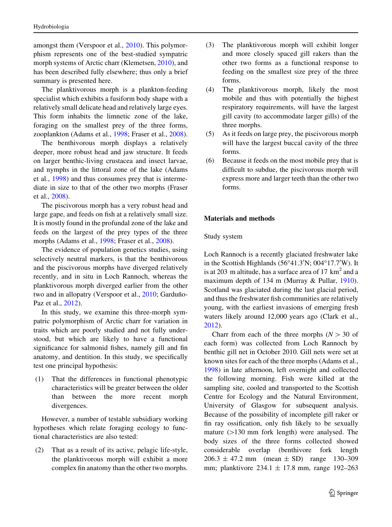amongst them (Verspoor et al., [2010](#page-12-0)). This polymorphism represents one of the best-studied sympatric morph systems of Arctic charr (Klemetsen, [2010\)](#page-12-0), and has been described fully elsewhere; thus only a brief summary is presented here.

The planktivorous morph is a plankton-feeding specialist which exhibits a fusiform body shape with a relatively small delicate head and relatively large eyes. This form inhabits the limnetic zone of the lake, foraging on the smallest prey of the three forms, zooplankton (Adams et al., [1998](#page-11-0); Fraser et al., [2008](#page-11-0)).

The benthivorous morph displays a relatively deeper, more robust head and jaw structure. It feeds on larger benthic-living crustacea and insect larvae, and nymphs in the littoral zone of the lake (Adams et al., [1998\)](#page-11-0) and thus consumes prey that is intermediate in size to that of the other two morphs (Fraser et al., [2008\)](#page-11-0).

The piscivorous morph has a very robust head and large gape, and feeds on fish at a relatively small size. It is mostly found in the profundal zone of the lake and feeds on the largest of the prey types of the three morphs (Adams et al., [1998](#page-11-0); Fraser et al., [2008](#page-11-0)).

The evidence of population genetics studies, using selectively neutral markers, is that the benthivorous and the piscivorous morphs have diverged relatively recently, and in situ in Loch Rannoch, whereas the planktivorous morph diverged earlier from the other two and in allopatry (Verspoor et al., [2010](#page-12-0); Garduño-Paz et al., [2012](#page-11-0)).

In this study, we examine this three-morph sympatric polymorphism of Arctic charr for variation in traits which are poorly studied and not fully understood, but which are likely to have a functional significance for salmonid fishes, namely gill and fin anatomy, and dentition. In this study, we specifically test one principal hypothesis:

(1) That the differences in functional phenotypic characteristics will be greater between the older than between the more recent morph divergences.

However, a number of testable subsidiary working hypotheses which relate foraging ecology to functional characteristics are also tested:

(2) That as a result of its active, pelagic life-style, the planktivorous morph will exhibit a more complex fin anatomy than the other two morphs.

- (3) The planktivorous morph will exhibit longer and more closely spaced gill rakers than the other two forms as a functional response to feeding on the smallest size prey of the three forms.
- (4) The planktivorous morph, likely the most mobile and thus with potentially the highest respiratory requirements, will have the largest gill cavity (to accommodate larger gills) of the three morphs.
- (5) As it feeds on large prey, the piscivorous morph will have the largest buccal cavity of the three forms.
- (6) Because it feeds on the most mobile prey that is difficult to subdue, the piscivorous morph will express more and larger teeth than the other two forms.

### Materials and methods

Study system

Loch Rannoch is a recently glaciated freshwater lake in the Scottish Highlands  $(56°41.3'N; 004°17.7'W)$ . It is at 203 m altitude, has a surface area of  $17 \text{ km}^2$  and a maximum depth of 134 m (Murray & Pullar, [1910](#page-12-0)). Scotland was glaciated during the last glacial period, and thus the freshwater fish communities are relatively young, with the earliest invasions of emerging fresh waters likely around 12,000 years ago (Clark et al., [2012\)](#page-11-0).

Charr from each of the three morphs ( $N > 30$  of each form) was collected from Loch Rannoch by benthic gill net in October 2010. Gill nets were set at known sites for each of the three morphs (Adams et al., [1998\)](#page-11-0) in late afternoon, left overnight and collected the following morning. Fish were killed at the sampling site, cooled and transported to the Scottish Centre for Ecology and the Natural Environment, University of Glasgow for subsequent analysis. Because of the possibility of incomplete gill raker or fin ray ossification, only fish likely to be sexually mature  $(>130$  mm fork length) were analysed. The body sizes of the three forms collected showed considerable overlap (benthivore fork length  $206.3 \pm 47.2$  mm (mean  $\pm$  SD) range 130–309 mm; planktivore 234.1 ± 17.8 mm, range 192–263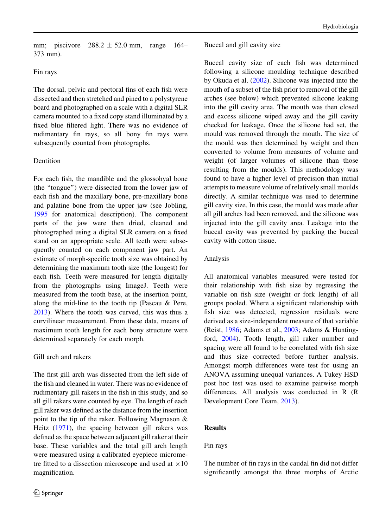mm; piscivore  $288.2 \pm 52.0$  mm, range 164– 373 mm).

# Fin rays

The dorsal, pelvic and pectoral fins of each fish were dissected and then stretched and pined to a polystyrene board and photographed on a scale with a digital SLR camera mounted to a fixed copy stand illuminated by a fixed blue filtered light. There was no evidence of rudimentary fin rays, so all bony fin rays were subsequently counted from photographs.

# Dentition

For each fish, the mandible and the glossohyal bone (the ''tongue'') were dissected from the lower jaw of each fish and the maxillary bone, pre-maxillary bone and palatine bone from the upper jaw (see Jobling, [1995](#page-11-0) for anatomical description). The component parts of the jaw were then dried, cleaned and photographed using a digital SLR camera on a fixed stand on an appropriate scale. All teeth were subsequently counted on each component jaw part. An estimate of morph-specific tooth size was obtained by determining the maximum tooth size (the longest) for each fish. Teeth were measured for length digitally from the photographs using ImageJ. Teeth were measured from the tooth base, at the insertion point, along the mid-line to the tooth tip (Pascau & Pere, [2013\)](#page-12-0). Where the tooth was curved, this was thus a curvilinear measurement. From these data, means of maximum tooth length for each bony structure were determined separately for each morph.

# Gill arch and rakers

The first gill arch was dissected from the left side of the fish and cleaned in water. There was no evidence of rudimentary gill rakers in the fish in this study, and so all gill rakers were counted by eye. The length of each gill raker was defined as the distance from the insertion point to the tip of the raker. Following Magnason & Heitz ([1971\)](#page-12-0), the spacing between gill rakers was defined as the space between adjacent gill raker at their base. These variables and the total gill arch length were measured using a calibrated eyepiece micrometre fitted to a dissection microscope and used at  $\times 10$ magnification.

### Buccal and gill cavity size

Buccal cavity size of each fish was determined following a silicone moulding technique described by Okuda et al. ([2002\)](#page-12-0). Silicone was injected into the mouth of a subset of the fish prior to removal of the gill arches (see below) which prevented silicone leaking into the gill cavity area. The mouth was then closed and excess silicone wiped away and the gill cavity checked for leakage. Once the silicone had set, the mould was removed through the mouth. The size of the mould was then determined by weight and then converted to volume from measures of volume and weight (of larger volumes of silicone than those resulting from the moulds). This methodology was found to have a higher level of precision than initial attempts to measure volume of relatively small moulds directly. A similar technique was used to determine gill cavity size. In this case, the mould was made after all gill arches had been removed, and the silicone was injected into the gill cavity area. Leakage into the buccal cavity was prevented by packing the buccal cavity with cotton tissue.

# Analysis

All anatomical variables measured were tested for their relationship with fish size by regressing the variable on fish size (weight or fork length) of all groups pooled. Where a significant relationship with fish size was detected, regression residuals were derived as a size-independent measure of that variable (Reist, [1986](#page-12-0); Adams et al., [2003;](#page-11-0) Adams & Huntingford, [2004\)](#page-11-0). Tooth length, gill raker number and spacing were all found to be correlated with fish size and thus size corrected before further analysis. Amongst morph differences were test for using an ANOVA assuming unequal variances. A Tukey HSD post hoc test was used to examine pairwise morph differences. All analysis was conducted in R (R Development Core Team, [2013\)](#page-12-0).

# Results

# Fin rays

The number of fin rays in the caudal fin did not differ significantly amongst the three morphs of Arctic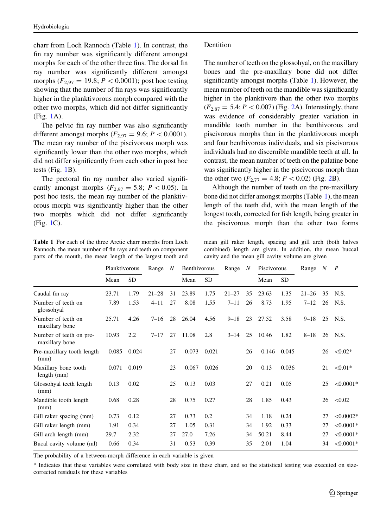<span id="page-4-0"></span>charr from Loch Rannoch (Table 1). In contrast, the fin ray number was significantly different amongst morphs for each of the other three fins. The dorsal fin ray number was significantly different amongst morphs ( $F_{2,97} = 19.8; P < 0.0001$ ); post hoc testing showing that the number of fin rays was significantly higher in the planktivorous morph compared with the other two morphs, which did not differ significantly (Fig. [1A](#page-5-0)).

The pelvic fin ray number was also significantly different amongst morphs ( $F_{2.97} = 9.6$ ;  $P \lt 0.0001$ ). The mean ray number of the piscivorous morph was significantly lower than the other two morphs, which did not differ significantly from each other in post hoc tests (Fig. [1B](#page-5-0)).

The pectoral fin ray number also varied significantly amongst morphs ( $F_{2,97} = 5.8$ ;  $P \lt 0.05$ ). In post hoc tests, the mean ray number of the planktivorous morph was significantly higher than the other two morphs which did not differ significantly (Fig. [1](#page-5-0)C).

Table 1 For each of the three Arctic charr morphs from Loch Rannoch, the mean number of fin rays and teeth on component parts of the mouth, the mean length of the largest tooth and

### Dentition

The number of teeth on the glossohyal, on the maxillary bones and the pre-maxillary bone did not differ significantly amongst morphs (Table 1). However, the mean number of teeth on the mandible was significantly higher in the planktivore than the other two morphs  $(F_{2,87} = 5.4; P < 0.007)$  (Fig. [2A](#page-6-0)). Interestingly, there was evidence of considerably greater variation in mandible tooth number in the benthivorous and piscivorous morphs than in the planktivorous morph and four benthivorous individuals, and six piscivorous individuals had no discernible mandible teeth at all. In contrast, the mean number of teeth on the palatine bone was significantly higher in the piscivorous morph than the other two  $(F_{2,77} = 4.8; P < 0.02)$  $(F_{2,77} = 4.8; P < 0.02)$  $(F_{2,77} = 4.8; P < 0.02)$  (Fig. 2B).

Although the number of teeth on the pre-maxillary bone did not differ amongst morphs (Table 1), the mean length of the teeth did, with the mean length of the longest tooth, corrected for fish length, being greater in the piscivorous morph than the other two forms

mean gill raker length, spacing and gill arch (both halves combined) length are given. In addition, the mean buccal cavity and the mean gill cavity volume are given

|                                           | Planktivorous |           | Range<br>$\boldsymbol{N}$ |    | Benthivorous |           | Range     | $\boldsymbol{N}$ | Piscivorous |           | Range     | $\boldsymbol{N}$ | $\boldsymbol{P}$ |
|-------------------------------------------|---------------|-----------|---------------------------|----|--------------|-----------|-----------|------------------|-------------|-----------|-----------|------------------|------------------|
|                                           | Mean          | <b>SD</b> |                           |    | Mean         | <b>SD</b> |           |                  | Mean        | <b>SD</b> |           |                  |                  |
| Caudal fin ray                            | 23.71         | 1.79      | $21 - 28$                 | 31 | 23.89        | 1.75      | $21 - 27$ | 35               | 23.63       | 1.35      | $21 - 26$ | 35               | N.S.             |
| Number of teeth on<br>glossohyal          | 7.89          | 1.53      | $4 - 11$                  | 27 | 8.08         | 1.55      | $7 - 11$  | 26               | 8.73        | 1.95      | $7 - 12$  | 26               | N.S.             |
| Number of teeth on<br>maxillary bone      | 25.71         | 4.26      | $7 - 16$                  | 28 | 26.04        | 4.56      | $9 - 18$  | 23               | 27.52       | 3.58      | $9 - 18$  | 25               | N.S.             |
| Number of teeth on pre-<br>maxillary bone | 10.93         | 2.2       | $7 - 17$                  | 27 | 11.08        | 2.8       | $3 - 14$  | 25               | 10.46       | 1.82      | $8 - 18$  | 26               | N.S.             |
| Pre-maxillary tooth length<br>(mm)        | 0.085         | 0.024     |                           | 27 | 0.073        | 0.021     |           | 26               | 0.146       | 0.045     |           | 26               | $< 0.02*$        |
| Maxillary bone tooth<br>length (mm)       | 0.071         | 0.019     |                           | 23 | 0.067        | 0.026     |           | 20               | 0.13        | 0.036     |           | 21               | $< 0.01*$        |
| Glossohyal teeth length<br>(mm)           | 0.13          | 0.02      |                           | 25 | 0.13         | 0.03      |           | 27               | 0.21        | 0.05      |           | 25               | $< 0.0001*$      |
| Mandible tooth length<br>(mm)             | 0.68          | 0.28      |                           | 28 | 0.75         | 0.27      |           | 28               | 1.85        | 0.43      |           | 26               | < 0.02           |
| Gill raker spacing (mm)                   | 0.73          | 0.12      |                           | 27 | 0.73         | 0.2       |           | 34               | 1.18        | 0.24      |           | 27               | $< 0.0002*$      |
| Gill raker length (mm)                    | 1.91          | 0.34      |                           | 27 | 1.05         | 0.31      |           | 34               | 1.92        | 0.33      |           | 27               | $< 0.0001*$      |
| Gill arch length (mm)                     | 29.7          | 2.32      |                           | 27 | 27.0         | 7.26      |           | 34               | 50.21       | 8.44      |           | 27               | $< 0.0001*$      |
| Bucal cavity volume (ml)                  | 0.66          | 0.34      |                           | 31 | 0.53         | 0.39      |           | 35               | 2.01        | 1.04      |           | 34               | $< 0.0001*$      |

The probability of a between-morph difference in each variable is given

\* Indicates that these variables were correlated with body size in these charr, and so the statistical testing was executed on sizecorrected residuals for these variables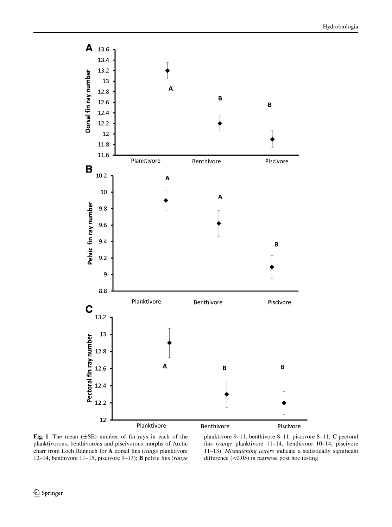<span id="page-5-0"></span>

Fig. 1 The mean  $(\pm SE)$  number of fin rays in each of the planktivorous, benthivorous and piscivorous morphs of Arctic charr from Loch Rannoch for A dorsal fins (range planktivore 12–14, benthivore 11–15, piscivore 9–13); B pelvic fins (range

planktivore 9–11, benthivore 8–11, piscivore 8–11; C pectoral fins (range planktivore 11–14, benthivore 10–14, piscivore 11–13). Mismatching letters indicate a statistically significant difference  $(<0.05$ ) in pairwise post hoc testing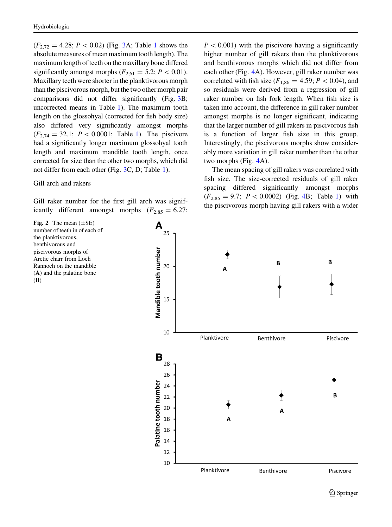<span id="page-6-0"></span> $(F_{2,72} = 4.28; P < 0.02)$  (Fig. [3A](#page-7-0); Table [1](#page-4-0) shows the absolute measures of mean maximum tooth length). The maximum length of teeth on the maxillary bone differed significantly amongst morphs ( $F_{2,61} = 5.2$ ;  $P \lt 0.01$ ). Maxillary teeth were shorter in the planktivorous morph than the piscivorous morph, but the two other morph pair comparisons did not differ significantly (Fig. [3B](#page-7-0); uncorrected means in Table [1\)](#page-4-0). The maximum tooth length on the glossohyal (corrected for fish body size) also differed very significantly amongst morphs  $(F_{2,74} = 32.1; P < 0.0001;$  Table [1\)](#page-4-0). The piscivore had a significantly longer maximum glossohyal tooth length and maximum mandible tooth length, once corrected for size than the other two morphs, which did not differ from each other (Fig. [3](#page-7-0)C, D; Table [1\)](#page-4-0).

#### Gill arch and rakers

Gill raker number for the first gill arch was significantly different amongst morphs  $(F_{2,85} = 6.27;$ 

Fig. 2 The mean  $(\pm SE)$ number of teeth in of each of the planktivorous, benthivorous and piscivorous morphs of Arctic charr from Loch Rannoch on the mandible (A) and the palatine bone (B)

 $P < 0.001$ ) with the piscivore having a significantly higher number of gill rakers than the planktivorous and benthivorous morphs which did not differ from each other (Fig. [4](#page-8-0)A). However, gill raker number was correlated with fish size ( $F_{1,86} = 4.59$ ;  $P \lt 0.04$ ), and so residuals were derived from a regression of gill raker number on fish fork length. When fish size is taken into account, the difference in gill raker number amongst morphs is no longer significant, indicating that the larger number of gill rakers in piscivorous fish is a function of larger fish size in this group. Interestingly, the piscivorous morphs show considerably more variation in gill raker number than the other two morphs (Fig. [4A](#page-8-0)).

The mean spacing of gill rakers was correlated with fish size. The size-corrected residuals of gill raker spacing differed significantly amongst morphs  $(F_{2,85} = 9.7; P < 0.0002)$  (Fig. [4B](#page-8-0); Table [1](#page-4-0)) with the piscivorous morph having gill rakers with a wider

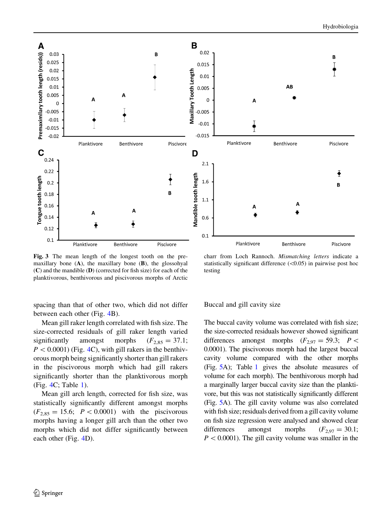$\circledcirc$  Springer

maxillary bone  $(A)$ , the maxillary bone  $(B)$ , the glossohyal (C) and the mandible (D) (corrected for fish size) for each of the planktivorous, benthivorous and piscivorous morphs of Arctic

spacing than that of other two, which did not differ between each other (Fig. [4B](#page-8-0)).

Mean gill raker length correlated with fish size. The size-corrected residuals of gill raker length varied significantly amongst morphs  $(F_{2,85} = 37.1;$  $P<0.0001$ ) (Fig. [4C](#page-8-0)), with gill rakers in the benthivorous morph being significantly shorter than gill rakers in the piscivorous morph which had gill rakers significantly shorter than the planktivorous morph (Fig. [4](#page-8-0)C; Table [1\)](#page-4-0).

Mean gill arch length, corrected for fish size, was statistically significantly different amongst morphs  $(F_{2,85} = 15.6; P < 0.0001)$  with the piscivorous morphs having a longer gill arch than the other two morphs which did not differ significantly between each other (Fig. [4D](#page-8-0)).

The buccal cavity volume was correlated with fish size; the size-corrected residuals however showed significant differences amongst morphs  $(F_{2.97} = 59.3; P \lt$ 0.0001). The piscivorous morph had the largest buccal cavity volume compared with the other morphs (Fig. [5](#page-9-0)A); Table [1](#page-4-0) gives the absolute measures of volume for each morph). The benthivorous morph had a marginally larger buccal cavity size than the planktivore, but this was not statistically significantly different (Fig. [5](#page-9-0)A). The gill cavity volume was also correlated with fish size; residuals derived from a gill cavity volume on fish size regression were analysed and showed clear differences amongst morphs  $(F_{2,97} = 30.1;$  $P < 0.0001$ ). The gill cavity volume was smaller in the



<span id="page-7-0"></span>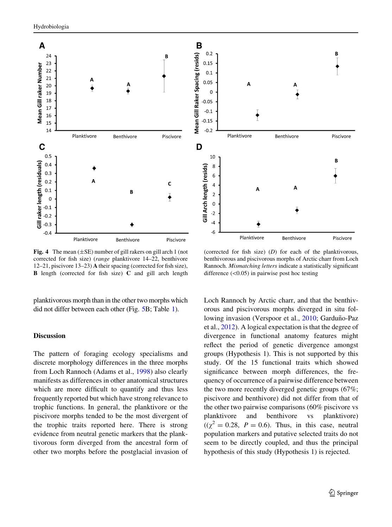<span id="page-8-0"></span>

Fig. 4 The mean  $(\pm SE)$  number of gill rakers on gill arch 1 (not corrected for fish size) (range planktivore 14–22, benthivore 12–21, piscivore 13–23) A their spacing (corrected for fish size), B length (corrected for fish size) C and gill arch length

planktivorous morph than in the other two morphs which did not differ between each other (Fig. [5B](#page-9-0); Table [1\)](#page-4-0).

# Discussion

The pattern of foraging ecology specialisms and discrete morphology differences in the three morphs from Loch Rannoch (Adams et al., [1998\)](#page-11-0) also clearly manifests as differences in other anatomical structures which are more difficult to quantify and thus less frequently reported but which have strong relevance to trophic functions. In general, the planktivore or the piscivore morphs tended to be the most divergent of the trophic traits reported here. There is strong evidence from neutral genetic markers that the planktivorous form diverged from the ancestral form of other two morphs before the postglacial invasion of



(corrected for fish size)  $(D)$  for each of the planktivorous, benthivorous and piscivorous morphs of Arctic charr from Loch Rannoch. Mismatching letters indicate a statistically significant difference  $(<0.05$ ) in pairwise post hoc testing

Loch Rannoch by Arctic charr, and that the benthivorous and piscivorous morphs diverged in situ fol-lowing invasion (Verspoor et al., [2010;](#page-12-0) Garduño-Paz et al., [2012](#page-11-0)). A logical expectation is that the degree of divergence in functional anatomy features might reflect the period of genetic divergence amongst groups (Hypothesis 1). This is not supported by this study. Of the 15 functional traits which showed significance between morph differences, the frequency of occurrence of a pairwise difference between the two more recently diverged genetic groups (67%; piscivore and benthivore) did not differ from that of the other two pairwise comparisons (60% piscivore vs planktivore and benthivore vs planktivore)  $((\chi^2 = 0.28, P = 0.6)$ . Thus, in this case, neutral population markers and putative selected traits do not seem to be directly coupled, and thus the principal hypothesis of this study (Hypothesis 1) is rejected.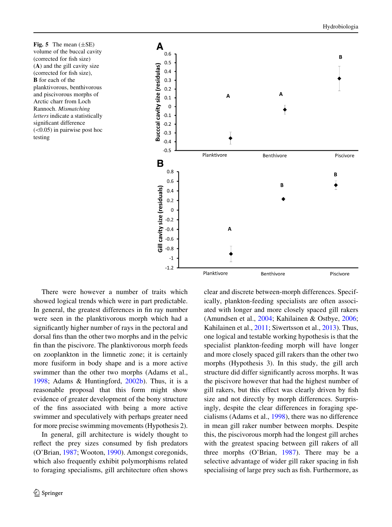<span id="page-9-0"></span>Fig. 5 The mean  $(\pm SE)$ volume of the buccal cavity (corrected for fish size) (A) and the gill cavity size (corrected for fish size), **B** for each of the planktivorous, benthivorous and piscivorous morphs of Arctic charr from Loch Rannoch. Mismatching letters indicate a statistically significant difference  $(<0.05$ ) in pairwise post hoc testing



There were however a number of traits which showed logical trends which were in part predictable. In general, the greatest differences in fin ray number were seen in the planktivorous morph which had a significantly higher number of rays in the pectoral and dorsal fins than the other two morphs and in the pelvic fin than the piscivore. The planktivorous morph feeds on zooplankton in the limnetic zone; it is certainly more fusiform in body shape and is a more active swimmer than the other two morphs (Adams et al., [1998;](#page-11-0) Adams & Huntingford, [2002b\)](#page-11-0). Thus, it is a reasonable proposal that this form might show evidence of greater development of the bony structure of the fins associated with being a more active swimmer and speculatively with perhaps greater need for more precise swimming movements (Hypothesis 2).

In general, gill architecture is widely thought to reflect the prey sizes consumed by fish predators (O'Brian, [1987](#page-12-0); Wooton, [1990](#page-12-0)). Amongst coregonids, which also frequently exhibit polymorphisms related to foraging specialisms, gill architecture often shows clear and discrete between-morph differences. Specifically, plankton-feeding specialists are often associated with longer and more closely spaced gill rakers (Amundsen et al., [2004](#page-11-0); Kahilainen & Ostbye, [2006](#page-12-0); Kahilainen et al., [2011;](#page-12-0) Siwertsson et al., [2013\)](#page-12-0). Thus, one logical and testable working hypothesis is that the specialist plankton-feeding morph will have longer and more closely spaced gill rakers than the other two morphs (Hypothesis 3). In this study, the gill arch structure did differ significantly across morphs. It was the piscivore however that had the highest number of gill rakers, but this effect was clearly driven by fish size and not directly by morph differences. Surprisingly, despite the clear differences in foraging specialisms (Adams et al., [1998\)](#page-11-0), there was no difference in mean gill raker number between morphs. Despite this, the piscivorous morph had the longest gill arches with the greatest spacing between gill rakers of all three morphs (O'Brian, [1987](#page-12-0)). There may be a selective advantage of wider gill raker spacing in fish specialising of large prey such as fish. Furthermore, as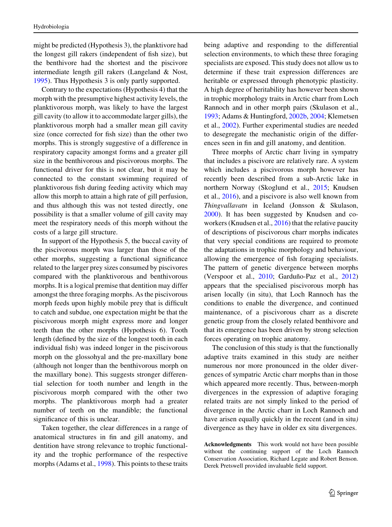might be predicted (Hypothesis 3), the planktivore had the longest gill rakers (independent of fish size), but the benthivore had the shortest and the piscivore intermediate length gill rakers (Langeland & Nost, [1995\)](#page-12-0). Thus Hypothesis 3 is only partly supported.

Contrary to the expectations (Hypothesis 4) that the morph with the presumptive highest activity levels, the planktivorous morph, was likely to have the largest gill cavity (to allow it to accommodate larger gills), the planktivorous morph had a smaller mean gill cavity size (once corrected for fish size) than the other two morphs. This is strongly suggestive of a difference in respiratory capacity amongst forms and a greater gill size in the benthivorous and piscivorous morphs. The functional driver for this is not clear, but it may be connected to the constant swimming required of planktivorous fish during feeding activity which may allow this morph to attain a high rate of gill perfusion, and thus although this was not tested directly, one possibility is that a smaller volume of gill cavity may meet the respiratory needs of this morph without the costs of a large gill structure.

In support of the Hypothesis 5, the buccal cavity of the piscivorous morph was larger than those of the other morphs, suggesting a functional significance related to the larger prey sizes consumed by piscivores compared with the planktivorous and benthivorous morphs. It is a logical premise that dentition may differ amongst the three foraging morphs. As the piscivorous morph feeds upon highly mobile prey that is difficult to catch and subdue, one expectation might be that the piscivorous morph might express more and longer teeth than the other morphs (Hypothesis 6). Tooth length (defined by the size of the longest tooth in each individual fish) was indeed longer in the piscivorous morph on the glossohyal and the pre-maxillary bone (although not longer than the benthivorous morph on the maxillary bone). This suggests stronger differential selection for tooth number and length in the piscivorous morph compared with the other two morphs. The planktivorous morph had a greater number of teeth on the mandible; the functional significance of this is unclear.

Taken together, the clear differences in a range of anatomical structures in fin and gill anatomy, and dentition have strong relevance to trophic functionality and the trophic performance of the respective morphs (Adams et al., [1998\)](#page-11-0). This points to these traits

being adaptive and responding to the differential selection environments, to which these three foraging specialists are exposed. This study does not allow us to determine if these trait expression differences are heritable or expressed through phenotypic plasticity. A high degree of heritability has however been shown in trophic morphology traits in Arctic charr from Loch Rannoch and in other morph pairs (Skulason et al., [1993;](#page-12-0) Adams & Huntingford, [2002b](#page-11-0), [2004;](#page-11-0) Klemetsen et al., [2002](#page-12-0)). Further experimental studies are needed to desegregate the mechanistic origin of the differences seen in fin and gill anatomy, and dentition.

Three morphs of Arctic charr living in sympatry that includes a piscivore are relatively rare. A system which includes a piscivorous morph however has recently been described from a sub-Arctic lake in northern Norway (Skoglund et al., [2015](#page-12-0); Knudsen et al., [2016\)](#page-12-0), and a piscivore is also well known from Thingvallavatn in Iceland (Jonsson & Skulason, [2000\)](#page-11-0). It has been suggested by Knudsen and co-workers (Knudsen et al., [2016\)](#page-12-0) that the relative paucity of descriptions of piscivorous charr morphs indicates that very special conditions are required to promote the adaptations in trophic morphology and behaviour, allowing the emergence of fish foraging specialists. The pattern of genetic divergence between morphs (Verspoor et al.,  $2010$ ; Garduño-Paz et al.,  $2012$ ) appears that the specialised piscivorous morph has arisen locally (in situ), that Loch Rannoch has the conditions to enable the divergence, and continued maintenance, of a piscivorous charr as a discrete genetic group from the closely related benthivore and that its emergence has been driven by strong selection forces operating on trophic anatomy.

The conclusion of this study is that the functionally adaptive traits examined in this study are neither numerous nor more pronounced in the older divergences of sympatric Arctic charr morphs than in those which appeared more recently. Thus, between-morph divergences in the expression of adaptive foraging related traits are not simply linked to the period of divergence in the Arctic charr in Loch Rannoch and have arisen equally quickly in the recent (and in situ) divergence as they have in older ex situ divergences.

Acknowledgments This work would not have been possible without the continuing support of the Loch Rannoch Conservation Association, Richard Legate and Robert Benson. Derek Pretswell provided invaluable field support.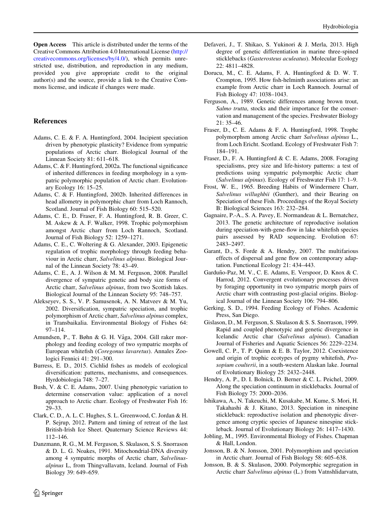<span id="page-11-0"></span>Open Access This article is distributed under the terms of the Creative Commons Attribution 4.0 International License ([http://](http://creativecommons.org/licenses/by/4.0/) [creativecommons.org/licenses/by/4.0/\)](http://creativecommons.org/licenses/by/4.0/), which permits unrestricted use, distribution, and reproduction in any medium, provided you give appropriate credit to the original author(s) and the source, provide a link to the Creative Commons license, and indicate if changes were made.

### References

- Adams, C. E. & F. A. Huntingford, 2004. Incipient speciation driven by phenotypic plasticity? Evidence from sympatric populations of Arctic charr. Biological Journal of the Linnean Society 81: 611–618.
- Adams, C. & F. Huntingford, 2002a. The functional significance of inherited differences in feeding morphology in a sympatric polymorphic population of Arctic charr. Evolutionary Ecology 16: 15–25.
- Adams, C. & F. Huntingford, 2002b. Inherited differences in head allometry in polymorphic charr from Loch Rannoch, Scotland. Journal of Fish Biology 60: 515–520.
- Adams, C. E., D. Fraser, F. A. Huntingford, R. B. Greer, C. M. Askew & A. F. Walker, 1998. Trophic polymorphism amongst Arctic charr from Loch Rannoch, Scotland. Journal of Fish Biology 52: 1259–1271.
- Adams, C. E., C. Woltering & G. Alexander, 2003. Epigenetic regulation of trophic morphology through feeding behaviour in Arctic charr, Salvelinus alpinus. Biological Journal of the Linnean Society 78: 43–49.
- Adams, C. E., A. J. Wilson & M. M. Ferguson, 2008. Parallel divergence of sympatric genetic and body size forms of Arctic charr, Salvelinus alpinus, from two Scottish lakes. Biological Journal of the Linnean Society 95: 748–757.
- Alekseyev, S. S., V. P. Samusenok, A. N. Matveev & M. Yu, 2002. Diversification, sympatric speciation, and trophic polymorphism of Arctic charr, Salvelinus alpinus complex, in Transbaikalia. Environmental Biology of Fishes 64: 97–114.
- Amundsen, P., T. Bøhn & G. H. Våga, 2004. Gill raker morphology and feeding ecology of two sympatric morphs of European whitefish (Coregonus lavaretus). Annales Zoologici Fennici 41: 291–300.
- Burress, E. D., 2015. Cichlid fishes as models of ecological diversification: patterns, mechanisms, and consequences. Hyrdobiologia 748: 7–27.
- Bush, V. & C. E. Adams, 2007. Using phenotypic variation to determine conservation value: application of a novel approach to Arctic charr. Ecology of Freshwater Fish 16: 29–33.
- Clark, C. D., A. L. C. Hughes, S. L. Greenwood, C. Jordan & H. P. Sejrup, 2012. Pattern and timing of retreat of the last British-Irish Ice Sheet. Quaternary Science Reviews 44: 112–146.
- Danzmann, R. G., M. M. Ferguson, S. Skulason, S. S. Snorrason & D. L. G. Noakes, 1991. Mitochondrial-DNA diversity among 4 sympatric morphs of Arctic charr, Salvelinusalpinus L, from Thingvallavatn, Iceland. Journal of Fish Biology 39: 649–659.
- Defaveri, J., T. Shikao, S. Yukinori & J. Merla, 2013. High degree of genetic differentiation in marine three-spined sticklebacks (Gasterosteus aculeatus). Molecular Ecology 22: 4811–4828.
- Dorucu, M., C. E. Adams, F. A. Huntingford & D. W. T. Crompton, 1995. How fish-helminth associations arise: an example from Arctic charr in Loch Rannoch. Journal of Fish Biology 47: 1038–1043.
- Ferguson, A., 1989. Genetic differences among brown trout, Salmo trutta, stocks and their importance for the conservation and management of the species. Freshwater Biology 21: 35–46.
- Fraser, D., C. E. Adams & F. A. Huntingford, 1998. Trophc polymorphsm among Arctic charr Salvelinus alpinus L., from Loch Ericht. Scotland. Ecology of Freshwater Fish 7: 184–191.
- Fraser, D., F. A. Huntingford & C. E. Adams, 2008. Foraging specialisms, prey size and life-history patterns: a test of predictions using sympatric polymorphic Arctic charr (Salvelinus alpinus). Ecology of Freshwater Fish 17: 1–9.
- Frost, W. E., 1965. Breeding Habits of Windermere Charr, Salvelinus willughbii (Gunther), and their Bearing on Speciation of these Fish. Proceedings of the Royal Society B: Biological Sciences 163: 232–284.
- Gagnaire, P.-A., S. A. Pavey, E. Normandeau & L. Bernatchez, 2013. The genetic architecture of reproductive isolation during speciation-with-gene-flow in lake whitefish species pairs assessed by RAD sequencing. Evolution 67: 2483–2497.
- Garant, D., S. Forde & A. Hendry, 2007. The multifarious effects of dispersal and gene flow on contemporary adaptation. Functional Ecology 21: 434–443.
- Garduño-Paz, M. V., C. E. Adams, E. Verspoor, D. Knox & C. Harrod, 2012. Convergent evolutionary processes driven by foraging opportunity in two sympatric morph pairs of Arctic charr with contrasting post-glacial origins. Biological Journal of the Linnean Society 106: 794–806.
- Gerking, S. D., 1994. Feeding Ecology of Fishes. Academic Press, San Diego.
- Gislason, D., M. Ferguson, S. Skulason & S. S. Snorrason, 1999. Rapid and coupled phenotypic and genetic divergence in Icelandic Arctic char (Salvelinus alpinus). Canadian Journal of Fisheries and Aquatic Sciences 56: 2229–2234.
- Gowell, C. P., T. P. Quinn & E. B. Taylor, 2012. Coexistence and origin of trophic ecotypes of pygmy whitefish, Prosopium coulterii, in a south-western Alaskan lake. Journal of Evolutionary Biology 25: 2432–2448.
- Hendry, A. P., D. I. Bolnick, D. Berner & C. L. Peichel, 2009. Along the speciation continuum in sticklebacks. Journal of Fish Biology 75: 2000–2036.
- Ishikawa, A., N. Takeuchi, M. Kusakabe, M. Kume, S. Mori, H. Takahashi & J. Kitano, 2013. Speciation in ninespine stickleback: reproductive isolation and phenotypic divergence among cryptic species of Japanese ninespine stickleback. Journal of Evolutionary Biology 26: 1417–1430.
- Jobling, M., 1995. Environmental Biology of Fishes. Chapman & Hall, London.
- Jonsson, B. & N. Jonsson, 2001. Polymorphism and speciation in Arctic charr. Journal of Fish Biology 58: 605–638.
- Jonsson, B. & S. Skulason, 2000. Polymorphic segregation in Arctic charr Salvelinus alpinus (L.) from Vatnshlidarvatn,